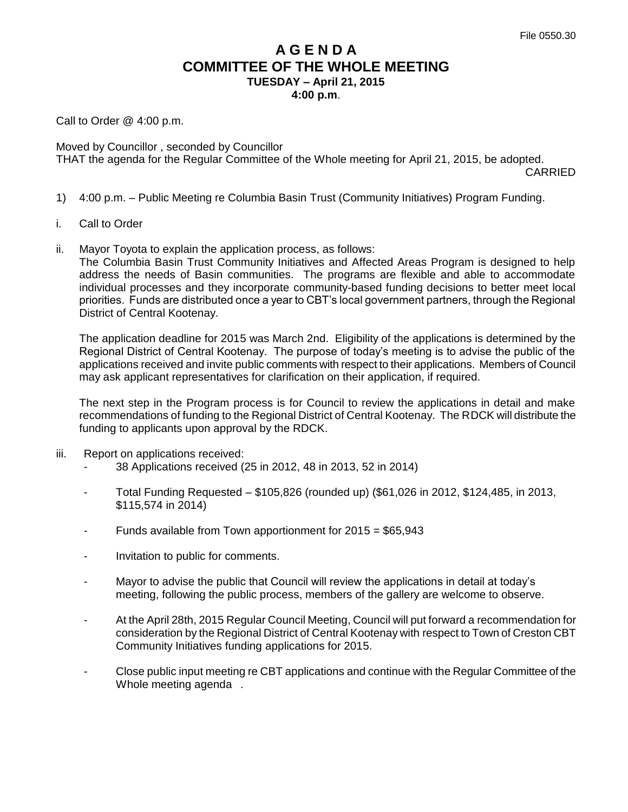## **A G E N D A COMMITTEE OF THE WHOLE MEETING TUESDAY – April 21, 2015**

**4:00 p.m**.

Call to Order @ 4:00 p.m.

Moved by Councillor , seconded by Councillor THAT the agenda for the Regular Committee of the Whole meeting for April 21, 2015, be adopted.

CARRIED

- 1) 4:00 p.m. Public Meeting re Columbia Basin Trust (Community Initiatives) Program Funding.
- i. Call to Order
- ii. Mayor Toyota to explain the application process, as follows:

The Columbia Basin Trust Community Initiatives and Affected Areas Program is designed to help address the needs of Basin communities. The programs are flexible and able to accommodate individual processes and they incorporate community-based funding decisions to better meet local priorities. Funds are distributed once a year to CBT's local government partners, through the Regional District of Central Kootenay.

The application deadline for 2015 was March 2nd. Eligibility of the applications is determined by the Regional District of Central Kootenay. The purpose of today's meeting is to advise the public of the applications received and invite public comments with respect to their applications. Members of Council may ask applicant representatives for clarification on their application, if required.

The next step in the Program process is for Council to review the applications in detail and make recommendations of funding to the Regional District of Central Kootenay. The RDCK will distribute the funding to applicants upon approval by the RDCK.

- iii. Report on applications received:
	- 38 Applications received (25 in 2012, 48 in 2013, 52 in 2014)
	- Total Funding Requested \$105,826 (rounded up) (\$61,026 in 2012, \$124,485, in 2013, \$115,574 in 2014)
	- Funds available from Town apportionment for  $2015 = $65,943$
	- Invitation to public for comments.
	- Mayor to advise the public that Council will review the applications in detail at today's meeting, following the public process, members of the gallery are welcome to observe.
	- At the April 28th, 2015 Regular Council Meeting, Council will put forward a recommendation for consideration by the Regional District of Central Kootenay with respect to Town of Creston CBT Community Initiatives funding applications for 2015.
	- Close public input meeting re CBT applications and continue with the Regular Committee of the Whole meeting agenda.